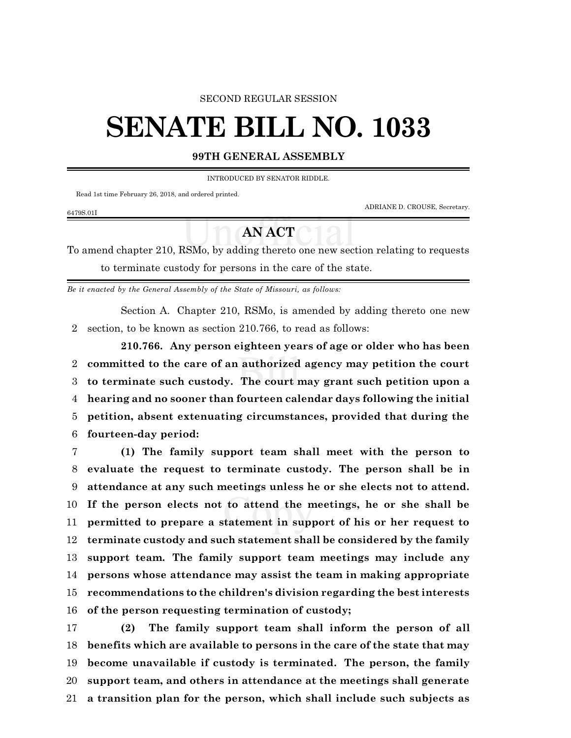### SECOND REGULAR SESSION

# **SENATE BILL NO. 1033**

## **99TH GENERAL ASSEMBLY**

INTRODUCED BY SENATOR RIDDLE.

Read 1st time February 26, 2018, and ordered printed.

ADRIANE D. CROUSE, Secretary.

#### 6479S.01I

# **AN ACT**

To amend chapter 210, RSMo, by adding thereto one new section relating to requests to terminate custody for persons in the care of the state.

*Be it enacted by the General Assembly of the State of Missouri, as follows:*

Section A. Chapter 210, RSMo, is amended by adding thereto one new section, to be known as section 210.766, to read as follows:

**210.766. Any person eighteen years of age or older who has been committed to the care of an authorized agency may petition the court to terminate such custody. The court may grant such petition upon a hearing and no sooner than fourteen calendar days following the initial petition, absent extenuating circumstances, provided that during the fourteen-day period:**

 **(1) The family support team shall meet with the person to evaluate the request to terminate custody. The person shall be in attendance at any such meetings unless he or she elects not to attend. If the person elects not to attend the meetings, he or she shall be permitted to prepare a statement in support of his or her request to terminate custody and such statement shall be considered by the family support team. The family support team meetings may include any persons whose attendance may assist the team in making appropriate recommendations to the children's division regarding the best interests of the person requesting termination of custody;**

 **(2) The family support team shall inform the person of all benefits which are available to persons in the care of the state that may become unavailable if custody is terminated. The person, the family support team, and others in attendance at the meetings shall generate a transition plan for the person, which shall include such subjects as**